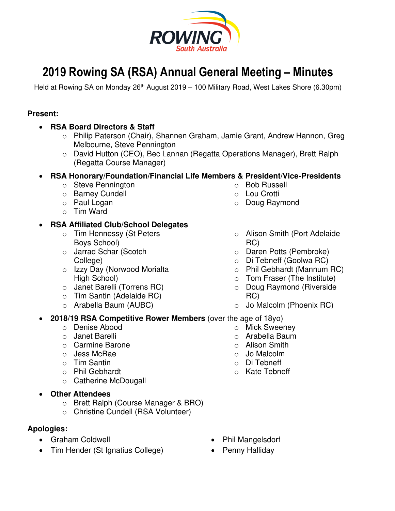

# **2019 Rowing SA (RSA) Annual General Meeting – Minutes**

Held at Rowing SA on Monday 26<sup>th</sup> August 2019 – 100 Military Road, West Lakes Shore (6.30pm)

# **Present:**

- **RSA Board Directors & Staff** 
	- o Philip Paterson (Chair), Shannen Graham, Jamie Grant, Andrew Hannon, Greg Melbourne, Steve Pennington
	- o David Hutton (CEO), Bec Lannan (Regatta Operations Manager), Brett Ralph (Regatta Course Manager)

# • **RSA Honorary/Foundation/Financial Life Members & President/Vice-Presidents**

- o Steve Pennington
- o Barney Cundell
- o Paul Logan
- o Tim Ward

# • **RSA Affiliated Club/School Delegates**

- o Tim Hennessy (St Peters Boys School)
- o Jarrad Schar (Scotch College)
- o Izzy Day (Norwood Morialta High School)
- o Janet Barelli (Torrens RC)
- o Tim Santin (Adelaide RC)
- o Arabella Baum (AUBC)
- o Bob Russell
- o Lou Crotti
- o Doug Raymond
- o Alison Smith (Port Adelaide RC)
- o Daren Potts (Pembroke)
- o Di Tebneff (Goolwa RC)
- o Phil Gebhardt (Mannum RC)
- o Tom Fraser (The Institute)
- o Doug Raymond (Riverside RC)
- o Jo Malcolm (Phoenix RC)

o Mick Sweeney o Arabella Baum o Alison Smith o Jo Malcolm o Di Tebneff o Kate Tebneff

• **2018/19 RSA Competitive Rower Members** (over the age of 18yo)

- o Denise Abood
- o Janet Barelli
- o Carmine Barone
- o Jess McRae
- o Tim Santin
- o Phil Gebhardt
- o Catherine McDougall
- **Other Attendees**
	- o Brett Ralph (Course Manager & BRO)
	- o Christine Cundell (RSA Volunteer)

# **Apologies:**

- Graham Coldwell
- Tim Hender (St Ignatius College)
- Phil Mangelsdorf
- Penny Halliday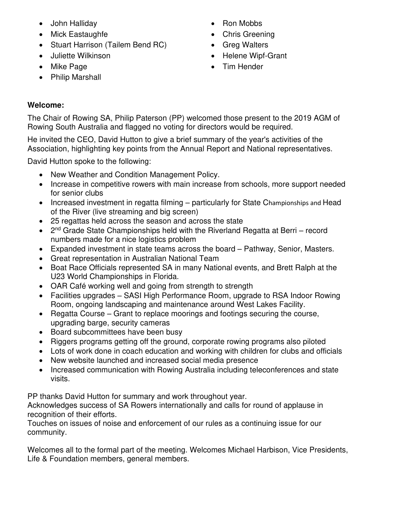- John Halliday
- Mick Eastaughfe
- Stuart Harrison (Tailem Bend RC)
- Juliette Wilkinson
- Mike Page
- Philip Marshall
- Ron Mobbs
- Chris Greening
- Greg Walters
- Helene Wipf-Grant
- Tim Hender

# **Welcome:**

The Chair of Rowing SA, Philip Paterson (PP) welcomed those present to the 2019 AGM of Rowing South Australia and flagged no voting for directors would be required.

He invited the CEO, David Hutton to give a brief summary of the year's activities of the Association, highlighting key points from the Annual Report and National representatives.

David Hutton spoke to the following:

- New Weather and Condition Management Policy.
- Increase in competitive rowers with main increase from schools, more support needed for senior clubs
- Increased investment in regatta filming particularly for State Championships and Head of the River (live streaming and big screen)
- 25 regattas held across the season and across the state
- 2<sup>nd</sup> Grade State Championships held with the Riverland Regatta at Berri record numbers made for a nice logistics problem
- Expanded investment in state teams across the board Pathway, Senior, Masters.
- Great representation in Australian National Team
- Boat Race Officials represented SA in many National events, and Brett Ralph at the U23 World Championships in Florida.
- OAR Café working well and going from strength to strength
- Facilities upgrades SASI High Performance Room, upgrade to RSA Indoor Rowing Room, ongoing landscaping and maintenance around West Lakes Facility.
- Regatta Course Grant to replace moorings and footings securing the course, upgrading barge, security cameras
- Board subcommittees have been busy
- Riggers programs getting off the ground, corporate rowing programs also piloted
- Lots of work done in coach education and working with children for clubs and officials
- New website launched and increased social media presence
- Increased communication with Rowing Australia including teleconferences and state visits.

PP thanks David Hutton for summary and work throughout year.

Acknowledges success of SA Rowers internationally and calls for round of applause in recognition of their efforts.

Touches on issues of noise and enforcement of our rules as a continuing issue for our community.

Welcomes all to the formal part of the meeting. Welcomes Michael Harbison, Vice Presidents, Life & Foundation members, general members.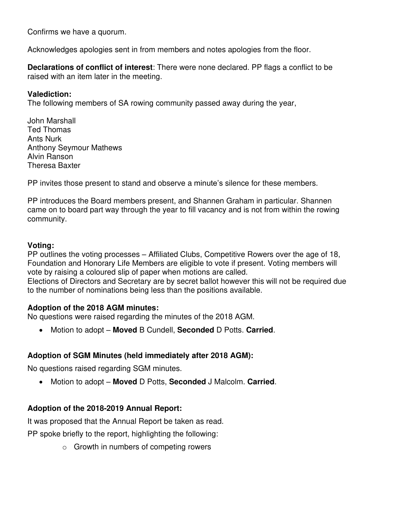Confirms we have a quorum.

Acknowledges apologies sent in from members and notes apologies from the floor.

**Declarations of conflict of interest**: There were none declared. PP flags a conflict to be raised with an item later in the meeting.

#### **Valediction:**

The following members of SA rowing community passed away during the year,

John Marshall Ted Thomas Ants Nurk Anthony Seymour Mathews Alvin Ranson Theresa Baxter

PP invites those present to stand and observe a minute's silence for these members.

PP introduces the Board members present, and Shannen Graham in particular. Shannen came on to board part way through the year to fill vacancy and is not from within the rowing community.

#### **Voting:**

PP outlines the voting processes – Affiliated Clubs, Competitive Rowers over the age of 18, Foundation and Honorary Life Members are eligible to vote if present. Voting members will vote by raising a coloured slip of paper when motions are called.

Elections of Directors and Secretary are by secret ballot however this will not be required due to the number of nominations being less than the positions available.

#### **Adoption of the 2018 AGM minutes:**

No questions were raised regarding the minutes of the 2018 AGM.

• Motion to adopt – **Moved** B Cundell, **Seconded** D Potts. **Carried**.

# **Adoption of SGM Minutes (held immediately after 2018 AGM):**

No questions raised regarding SGM minutes.

• Motion to adopt – **Moved** D Potts, **Seconded** J Malcolm. **Carried**.

# **Adoption of the 2018-2019 Annual Report:**

It was proposed that the Annual Report be taken as read.

PP spoke briefly to the report, highlighting the following:

o Growth in numbers of competing rowers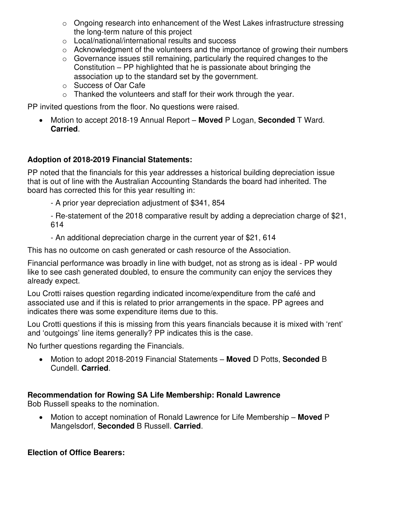- o Ongoing research into enhancement of the West Lakes infrastructure stressing the long-term nature of this project
- o Local/national/international results and success
- o Acknowledgment of the volunteers and the importance of growing their numbers
- o Governance issues still remaining, particularly the required changes to the Constitution – PP highlighted that he is passionate about bringing the association up to the standard set by the government.
- o Success of Oar Cafe
- $\circ$  Thanked the volunteers and staff for their work through the year.

PP invited questions from the floor. No questions were raised.

• Motion to accept 2018-19 Annual Report – **Moved** P Logan, **Seconded** T Ward. **Carried**.

# **Adoption of 2018-2019 Financial Statements:**

PP noted that the financials for this year addresses a historical building depreciation issue that is out of line with the Australian Accounting Standards the board had inherited. The board has corrected this for this year resulting in:

- A prior year depreciation adjustment of \$341, 854

- Re-statement of the 2018 comparative result by adding a depreciation charge of \$21, 614

- An additional depreciation charge in the current year of \$21, 614

This has no outcome on cash generated or cash resource of the Association.

Financial performance was broadly in line with budget, not as strong as is ideal - PP would like to see cash generated doubled, to ensure the community can enjoy the services they already expect.

Lou Crotti raises question regarding indicated income/expenditure from the café and associated use and if this is related to prior arrangements in the space. PP agrees and indicates there was some expenditure items due to this.

Lou Crotti questions if this is missing from this years financials because it is mixed with 'rent' and 'outgoings' line items generally? PP indicates this is the case.

No further questions regarding the Financials.

• Motion to adopt 2018-2019 Financial Statements – **Moved** D Potts, **Seconded** B Cundell. **Carried**.

# **Recommendation for Rowing SA Life Membership: Ronald Lawrence**

Bob Russell speaks to the nomination.

• Motion to accept nomination of Ronald Lawrence for Life Membership – **Moved** P Mangelsdorf, **Seconded** B Russell. **Carried**.

# **Election of Office Bearers:**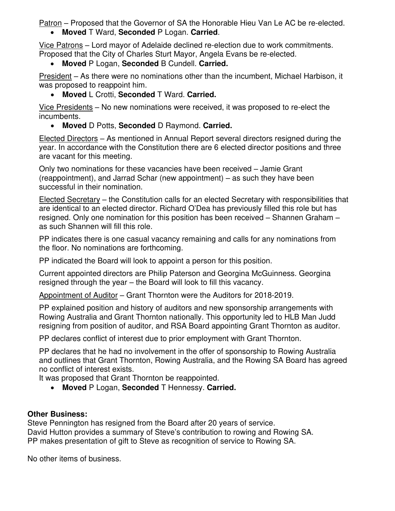Patron – Proposed that the Governor of SA the Honorable Hieu Van Le AC be re-elected. • **Moved** T Ward, **Seconded** P Logan. **Carried**.

Vice Patrons – Lord mayor of Adelaide declined re-election due to work commitments. Proposed that the City of Charles Sturt Mayor, Angela Evans be re-elected.

• **Moved** P Logan, **Seconded** B Cundell. **Carried.**

President – As there were no nominations other than the incumbent, Michael Harbison, it was proposed to reappoint him.

• **Moved** L Crotti, **Seconded** T Ward. **Carried.**

Vice Presidents – No new nominations were received, it was proposed to re-elect the incumbents.

• **Moved** D Potts, **Seconded** D Raymond. **Carried.**

Elected Directors – As mentioned in Annual Report several directors resigned during the year. In accordance with the Constitution there are 6 elected director positions and three are vacant for this meeting.

Only two nominations for these vacancies have been received – Jamie Grant (reappointment), and Jarrad Schar (new appointment) – as such they have been successful in their nomination.

Elected Secretary – the Constitution calls for an elected Secretary with responsibilities that are identical to an elected director. Richard O'Dea has previously filled this role but has resigned. Only one nomination for this position has been received – Shannen Graham – as such Shannen will fill this role.

PP indicates there is one casual vacancy remaining and calls for any nominations from the floor. No nominations are forthcoming.

PP indicated the Board will look to appoint a person for this position.

Current appointed directors are Philip Paterson and Georgina McGuinness. Georgina resigned through the year – the Board will look to fill this vacancy.

Appointment of Auditor – Grant Thornton were the Auditors for 2018-2019.

PP explained position and history of auditors and new sponsorship arrangements with Rowing Australia and Grant Thornton nationally. This opportunity led to HLB Man Judd resigning from position of auditor, and RSA Board appointing Grant Thornton as auditor.

PP declares conflict of interest due to prior employment with Grant Thornton.

PP declares that he had no involvement in the offer of sponsorship to Rowing Australia and outlines that Grant Thornton, Rowing Australia, and the Rowing SA Board has agreed no conflict of interest exists.

It was proposed that Grant Thornton be reappointed.

• **Moved** P Logan, **Seconded** T Hennessy. **Carried.**

# **Other Business:**

Steve Pennington has resigned from the Board after 20 years of service. David Hutton provides a summary of Steve's contribution to rowing and Rowing SA. PP makes presentation of gift to Steve as recognition of service to Rowing SA.

No other items of business.